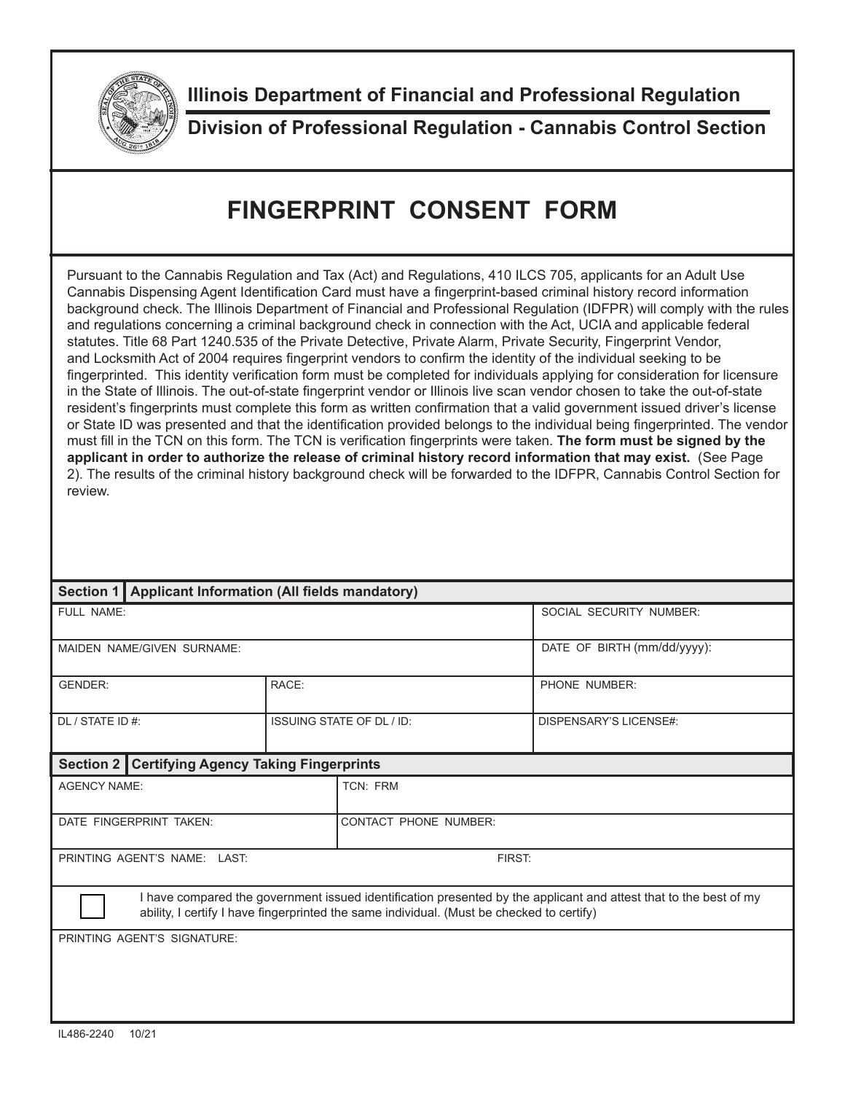

**Illinois Department of Financial and Professional Regulation**

**Division of Professional Regulation - Cannabis Control Section**

## **FINGERPRINT CONSENT FORM**

Pursuant to the Cannabis Regulation and Tax (Act) and Regulations, 410 ILCS 705, applicants for an Adult Use Cannabis Dispensing Agent Identification Card must have a fingerprint-based criminal history record information background check. The Illinois Department of Financial and Professional Regulation (IDFPR) will comply with the rules and regulations concerning a criminal background check in connection with the Act, UCIA and applicable federal statutes. Title 68 Part 1240.535 of the Private Detective, Private Alarm, Private Security, Fingerprint Vendor, and Locksmith Act of 2004 requires fingerprint vendors to confirm the identity of the individual seeking to be fingerprinted. This identity verification form must be completed for individuals applying for consideration for licensure in the State of Illinois. The out-of-state fingerprint vendor or Illinois live scan vendor chosen to take the out-of-state resident's fingerprints must complete this form as written confirmation that a valid government issued driver's license or State ID was presented and that the identification provided belongs to the individual being fingerprinted. The vendor must fill in the TCN on this form. The TCN is verification fingerprints were taken. **The form must be signed by the applicant in order to authorize the release of criminal history record information that may exist.** (See Page 2). The results of the criminal history background check will be forwarded to the IDFPR, Cannabis Control Section for review.

| Section 1   Applicant Information (All fields mandatory)                                                                                                                                                       |                                  |                              |                             |  |
|----------------------------------------------------------------------------------------------------------------------------------------------------------------------------------------------------------------|----------------------------------|------------------------------|-----------------------------|--|
| FULL NAME:                                                                                                                                                                                                     |                                  |                              | SOCIAL SECURITY NUMBER:     |  |
| MAIDEN NAME/GIVEN SURNAME:                                                                                                                                                                                     |                                  |                              | DATE OF BIRTH (mm/dd/yyyy): |  |
| <b>GENDER:</b>                                                                                                                                                                                                 | RACE:                            |                              | PHONE NUMBER:               |  |
| DL / STATE ID #:                                                                                                                                                                                               | <b>ISSUING STATE OF DL / ID:</b> |                              | DISPENSARY'S LICENSE#:      |  |
| <b>Certifying Agency Taking Fingerprints</b><br>Section 2                                                                                                                                                      |                                  |                              |                             |  |
| <b>AGENCY NAME:</b>                                                                                                                                                                                            |                                  | TCN: FRM                     |                             |  |
| DATE FINGERPRINT TAKEN:                                                                                                                                                                                        |                                  | <b>CONTACT PHONE NUMBER:</b> |                             |  |
| PRINTING AGENT'S NAME: LAST.                                                                                                                                                                                   |                                  | FIRST:                       |                             |  |
| I have compared the government issued identification presented by the applicant and attest that to the best of my<br>ability, I certify I have fingerprinted the same individual. (Must be checked to certify) |                                  |                              |                             |  |
| PRINTING AGENT'S SIGNATURE:                                                                                                                                                                                    |                                  |                              |                             |  |